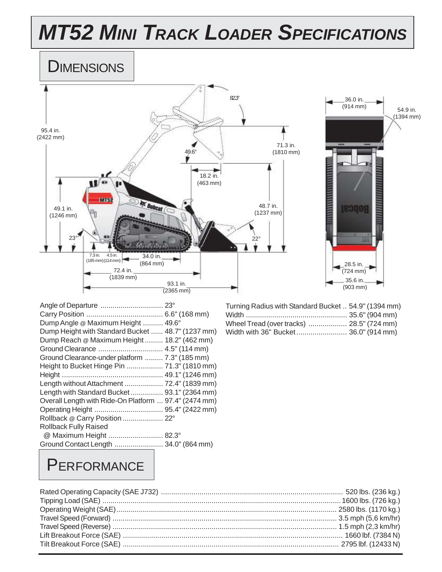# *MT52 MINI TRACK LOADER SPECIFICATIONS*





| Angle of Departure  23°                               |  |
|-------------------------------------------------------|--|
|                                                       |  |
| Dump Angle @ Maximum Height  49.6°                    |  |
| Dump Height with Standard Bucket  48.7" (1237 mm)     |  |
| Dump Reach @ Maximum Height 18.2" (462 mm)            |  |
|                                                       |  |
| Ground Clearance-under platform  7.3" (185 mm)        |  |
| Height to Bucket Hinge Pin  71.3" (1810 mm)           |  |
|                                                       |  |
| Length without Attachment  72.4" (1839 mm)            |  |
| Length with Standard Bucket  93.1" (2364 mm)          |  |
| Overall Length with Ride-On Platform  97.4" (2474 mm) |  |
|                                                       |  |
| Rollback @ Carry Position  22°                        |  |
| <b>Rollback Fully Raised</b>                          |  |
| @ Maximum Height  82.3°                               |  |
| Ground Contact Length  34.0" (864 mm)                 |  |

| Turning Radius with Standard Bucket  54.9" (1394 mm) |  |
|------------------------------------------------------|--|
|                                                      |  |
| Wheel Tread (over tracks)  28.5" (724 mm)            |  |
| Width with 36" Bucket 36.0" (914 mm)                 |  |

#### **PERFORMANCE**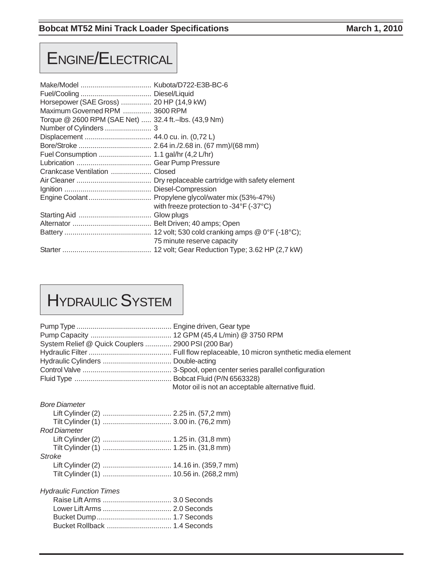#### ENGINE/ELECTRICAL

| Horsepower (SAE Gross)  20 HP (14,9 kW)<br>Maximum Governed RPM  3600 RPM |                                                     |
|---------------------------------------------------------------------------|-----------------------------------------------------|
| Torque @ 2600 RPM (SAE Net)  32.4 ft.-lbs. (43,9 Nm)                      |                                                     |
|                                                                           |                                                     |
|                                                                           |                                                     |
|                                                                           |                                                     |
|                                                                           |                                                     |
|                                                                           |                                                     |
|                                                                           |                                                     |
|                                                                           |                                                     |
|                                                                           |                                                     |
|                                                                           | Engine Coolant Propylene glycol/water mix (53%-47%) |
|                                                                           | with freeze protection to -34°F (-37°C)             |
|                                                                           |                                                     |
|                                                                           |                                                     |
|                                                                           |                                                     |
|                                                                           | 75 minute reserve capacity                          |
|                                                                           |                                                     |

# HYDRAULIC SYSTEM

| System Relief @ Quick Couplers  2900 PSI (200 Bar) |                                                   |
|----------------------------------------------------|---------------------------------------------------|
|                                                    |                                                   |
|                                                    |                                                   |
|                                                    |                                                   |
|                                                    |                                                   |
|                                                    | Motor oil is not an acceptable alternative fluid. |
| <b>Bore Diameter</b>                               |                                                   |
|                                                    |                                                   |
|                                                    |                                                   |
| <b>Rod Diameter</b>                                |                                                   |
|                                                    |                                                   |
|                                                    |                                                   |
| <b>Stroke</b>                                      |                                                   |
|                                                    |                                                   |
|                                                    |                                                   |
| <b>Hydraulic Function Times</b>                    |                                                   |
|                                                    |                                                   |
|                                                    |                                                   |
|                                                    |                                                   |
|                                                    |                                                   |
|                                                    |                                                   |
|                                                    |                                                   |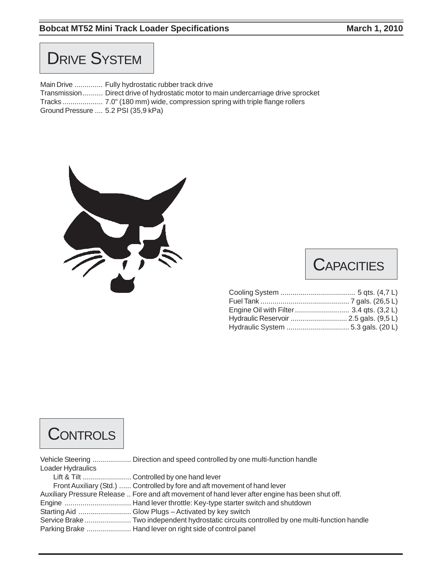#### **Bobcat MT52 Mini Track Loader Specifications March 1, 2010** March 1, 2010

#### **DRIVE SYSTEM**

Main Drive .............. Fully hydrostatic rubber track drive Transmission.......... Direct drive of hydrostatic motor to main undercarriage drive sprocket Tracks .................... 7.0" (180 mm) wide, compression spring with triple flange rollers Ground Pressure .... 5.2 PSI (35,9 kPa)



#### **CAPACITIES**

| Hydraulic Reservoir  2.5 gals. (9,5 L) |  |
|----------------------------------------|--|
| Hydraulic System  5.3 gals. (20 L)     |  |

#### **CONTROLS**

| Loader Hydraulics |                                                                                                 |
|-------------------|-------------------------------------------------------------------------------------------------|
|                   |                                                                                                 |
|                   | Front Auxiliary (Std.)  Controlled by fore and aft movement of hand lever                       |
|                   | Auxiliary Pressure Release  Fore and aft movement of hand lever after engine has been shut off. |
|                   |                                                                                                 |
|                   |                                                                                                 |
|                   |                                                                                                 |
|                   |                                                                                                 |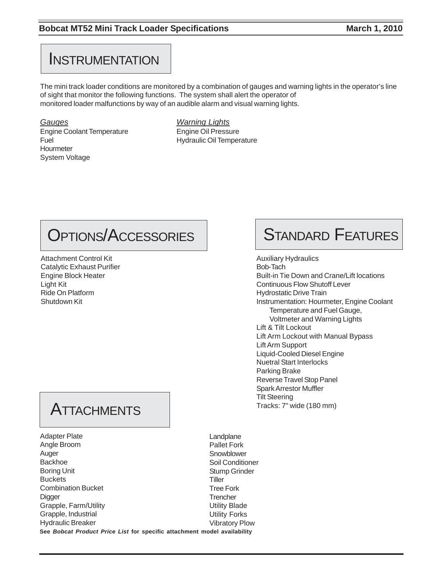#### **INSTRUMENTATION**

The mini track loader conditions are monitored by a combination of gauges and warning lights in the operator's line of sight that monitor the following functions. The system shall alert the operator of monitored loader malfunctions by way of an audible alarm and visual warning lights.

*Gauges Warning Lights* Engine Coolant Temperature Engine Oil Pressure Fuel Fuel **Hydraulic Oil Temperature** Hourmeter System Voltage

### OPTIONS/ACCESSORIES

Attachment Control Kit Catalytic Exhaust Purifier Engine Block Heater Light Kit Ride On Platform Shutdown Kit

#### **ATTACHMENTS**

**See** *Bobcat Product Price List* **for specific attachment model availability** Adapter Plate Angle Broom Auger Backhoe Boring Unit **Buckets** Combination Bucket **Digger** Grapple, Farm/Utility Grapple, Industrial Hydraulic Breaker

# STANDARD FEATURES

Auxiliary Hydraulics Bob-Tach Built-in Tie Down and Crane/Lift locations Continuous Flow Shutoff Lever Hydrostatic Drive Train Instrumentation: Hourmeter, Engine Coolant Temperature and Fuel Gauge, Voltmeter and Warning Lights Lift & Tilt Lockout Lift Arm Lockout with Manual Bypass Lift Arm Support Liquid-Cooled Diesel Engine Nuetral Start Interlocks Parking Brake Reverse Travel Stop Panel Spark Arrestor Muffler Tilt Steering Tracks: 7" wide (180 mm)

Landplane Pallet Fork Snowblower Soil Conditioner Stump Grinder **Tiller** Tree Fork **Trencher** Utility Blade Utility Forks Vibratory Plow